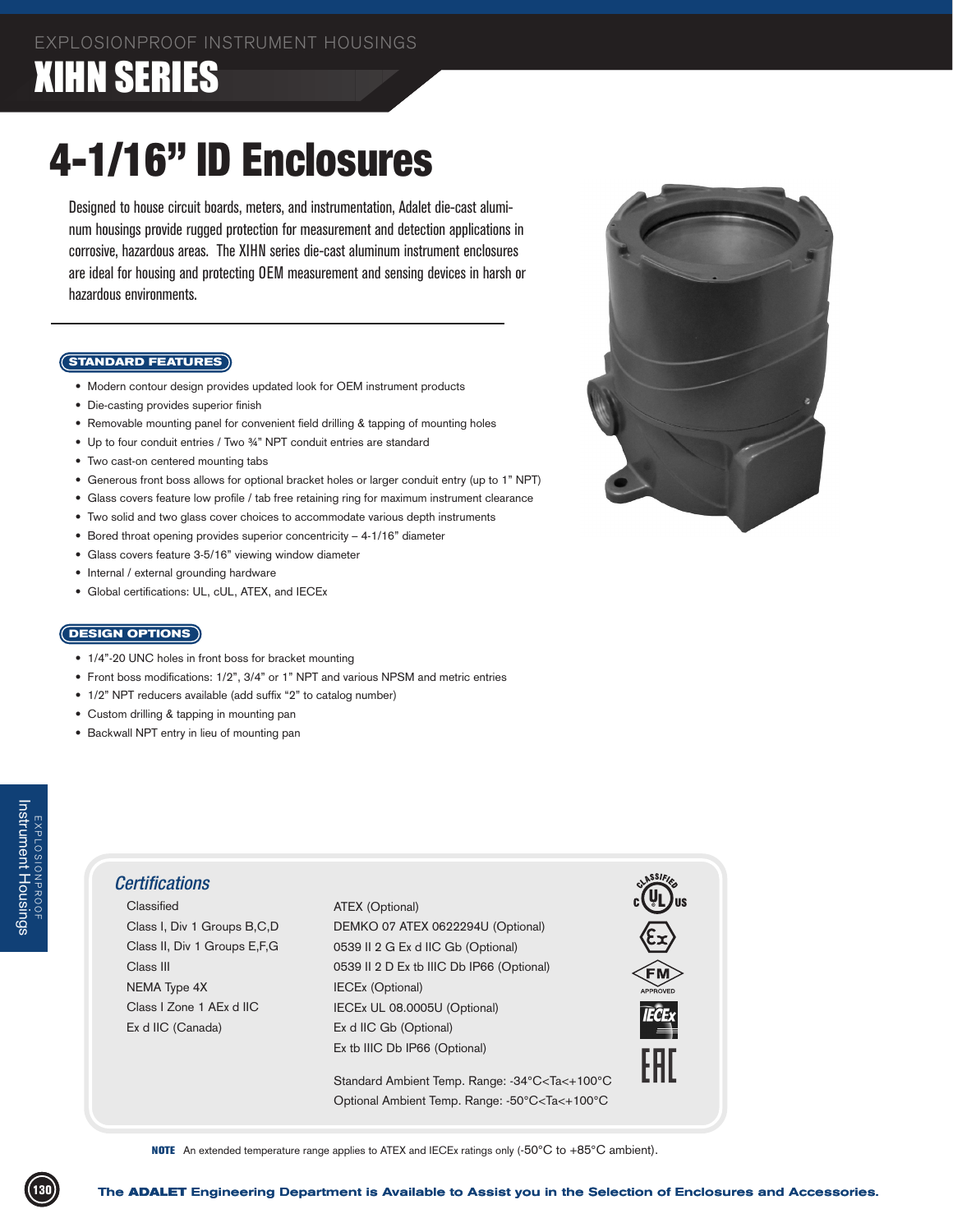## **XIHN SERIES**

# 4-1/16" ID Enclosures

Designed to house circuit boards, meters, and instrumentation, Adalet die-cast aluminum housings provide rugged protection for measurement and detection applications in corrosive, hazardous areas. The XIHN series die-cast aluminum instrument enclosures are ideal for housing and protecting OEM measurement and sensing devices in harsh or hazardous environments.

#### **STANDARD FEATURES**

- Modern contour design provides updated look for OEM instrument products
- Die-casting provides superior finish
- Removable mounting panel for convenient field drilling & tapping of mounting holes
- Up to four conduit entries / Two 34" NPT conduit entries are standard
- Two cast-on centered mounting tabs
- Generous front boss allows for optional bracket holes or larger conduit entry (up to 1" NPT)
- Glass covers feature low profile / tab free retaining ring for maximum instrument clearance
- Two solid and two glass cover choices to accommodate various depth instruments
- Bored throat opening provides superior concentricity 4-1/16" diameter
- Glass covers feature 3-5/16" viewing window diameter
- Internal / external grounding hardware
- Global certifications: UL, cUL, ATEX, and IECEx

#### **DESIGN OPTIONS**

- 1/4"-20 UNC holes in front boss for bracket mounting
- Front boss modifications: 1/2", 3/4" or 1" NPT and various NPSM and metric entries
- 1/2" NPT reducers available (add suffix "2" to catalog number)
- Custom drilling & tapping in mounting pan
- Backwall NPT entry in lieu of mounting pan

### *Certifications*

 Classified Class I, Div 1 Groups B,C,D Class II, Div 1 Groups E,F,G Class III NEMA Type 4X Class I Zone 1 AEx d IIC Ex d IIC (Canada)

Certifications<br>
Classified ATEX (Optional)<br>
Class II, Div 1 Groups B,C,D<br>
Class II, Div 1 Groups E,F,G<br>
Class III 20 Ext IIIC Db IP66 (Optional)<br>
Class III 20 Ext IIC CER (Optional)<br>
NEMA Type 4X<br>
ECE v U, 08,0005U (Option ATEX (Optional) DEMKO 07 ATEX 0622294U (Optional) 0539 II 2 G Ex d IIC Gb (Optional) 0539 II 2 D Ex tb IIIC Db IP66 (Optional) IECEx (Optional) IECEx UL 08.0005U (Optional) Ex d IIC Gb (Optional) Ex tb IIIC Db IP66 (Optional)

Standard Ambient Temp. Range: -34°C<Ta<+100°C Optional Ambient Temp. Range: -50°C<Ta<+100°C



NOTE An extended temperature range applies to ATEX and IECEx ratings only (-50°C to +85°C ambient).